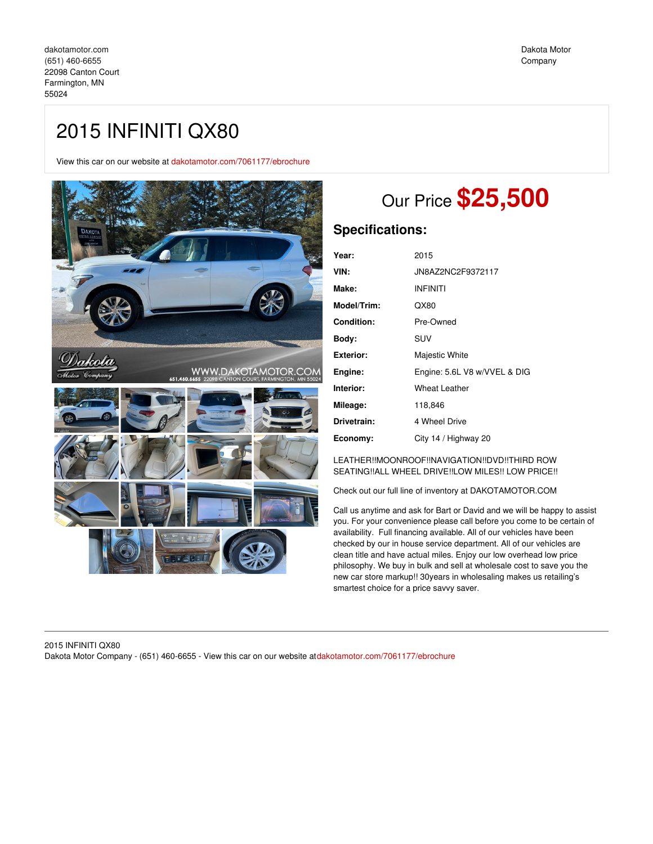# 2015 INFINITI QX80

View this car on our website at [dakotamotor.com/7061177/ebrochure](https://dakotamotor.com/vehicle/7061177/2015-infiniti-qx80-farmington-mn-55024/7061177/ebrochure)



# Our Price **\$25,500**

## **Specifications:**

| Year:       | 2015                         |
|-------------|------------------------------|
| VIN:        | JN8AZ2NC2F9372117            |
| Make:       | <b>INFINITI</b>              |
| Model/Trim: | QX80                         |
| Condition:  | Pre-Owned                    |
| Body:       | SUV                          |
| Exterior:   | Majestic White               |
| Engine:     | Engine: 5.6L V8 w/VVEL & DIG |
| Interior:   | <b>Wheat Leather</b>         |
| Mileage:    | 118,846                      |
| Drivetrain: | 4 Wheel Drive                |
| Economy:    | City 14 / Highway 20         |

### LEATHER!!MOONROOF!!NAVIGATION!!DVD!!THIRD ROW SEATING!!ALL WHEEL DRIVE!!LOW MILES!! LOW PRICE!!

Check out our full line of inventory at DAKOTAMOTOR.COM

Call us anytime and ask for Bart or David and we will be happy to assist you. For your convenience please call before you come to be certain of availability. Full financing available. All of our vehicles have been checked by our in house service department. All of our vehicles are clean title and have actual miles. Enjoy our low overhead low price philosophy. We buy in bulk and sell at wholesale cost to save you the new car store markup!! 30years in wholesaling makes us retailing's smartest choice for a price savvy saver.

### 2015 INFINITI QX80 Dakota Motor Company - (651) 460-6655 - View this car on our website at[dakotamotor.com/7061177/ebrochure](https://dakotamotor.com/vehicle/7061177/2015-infiniti-qx80-farmington-mn-55024/7061177/ebrochure)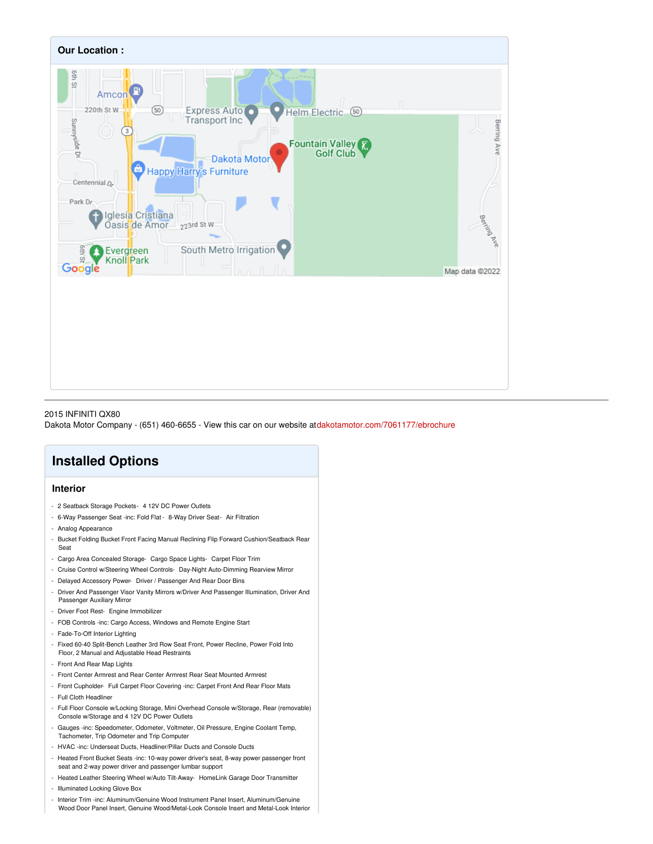

### 2015 INFINITI QX80

Dakota Motor Company - (651) 460-6655 - View this car on our website at[dakotamotor.com/7061177/ebrochure](https://dakotamotor.com/vehicle/7061177/2015-infiniti-qx80-farmington-mn-55024/7061177/ebrochure)

## **Installed Options**

### **Interior**

- 2 Seatback Storage Pockets- 4 12V DC Power Outlets
- 6-Way Passenger Seat -inc: Fold Flat 8-Way Driver Seat- Air Filtration
- Analog Appearance
- Bucket Folding Bucket Front Facing Manual Reclining Flip Forward Cushion/Seatback Rear Seat
- Cargo Area Concealed Storage- Cargo Space Lights- Carpet Floor Trim
- Cruise Control w/Steering Wheel Controls- Day-Night Auto-Dimming Rearview Mirror
- Delayed Accessory Power- Driver / Passenger And Rear Door Bins
- Driver And Passenger Visor Vanity Mirrors w/Driver And Passenger Illumination, Driver And Passenger Auxiliary Mirror
- Driver Foot Rest- Engine Immobilizer
- FOB Controls -inc: Cargo Access, Windows and Remote Engine Start
- Fade-To-Off Interior Lighting
- Fixed 60-40 Split-Bench Leather 3rd Row Seat Front, Power Recline, Power Fold Into Floor, 2 Manual and Adjustable Head Restraints
- Front And Rear Map Lights
- Front Center Armrest and Rear Center Armrest Rear Seat Mounted Armrest
- Front Cupholder- Full Carpet Floor Covering -inc: Carpet Front And Rear Floor Mats - Full Cloth Headliner
- Full Floor Console w/Locking Storage, Mini Overhead Console w/Storage, Rear (removable) Console w/Storage and 4 12V DC Power Outlets
- Gauges -inc: Speedometer, Odometer, Voltmeter, Oil Pressure, Engine Coolant Temp, Tachometer, Trip Odometer and Trip Computer
- HVAC -inc: Underseat Ducts, Headliner/Pillar Ducts and Console Ducts
- Heated Front Bucket Seats -inc: 10-way power driver's seat, 8-way power passenger front seat and 2-way power driver and passenger lumbar support
- Heated Leather Steering Wheel w/Auto Tilt-Away- HomeLink Garage Door Transmitter
- Illuminated Locking Glove Box
- Interior Trim -inc: Aluminum/Genuine Wood Instrument Panel Insert, Aluminum/Genuine Wood Door Panel Insert, Genuine Wood/Metal-Look Console Insert and Metal-Look Interior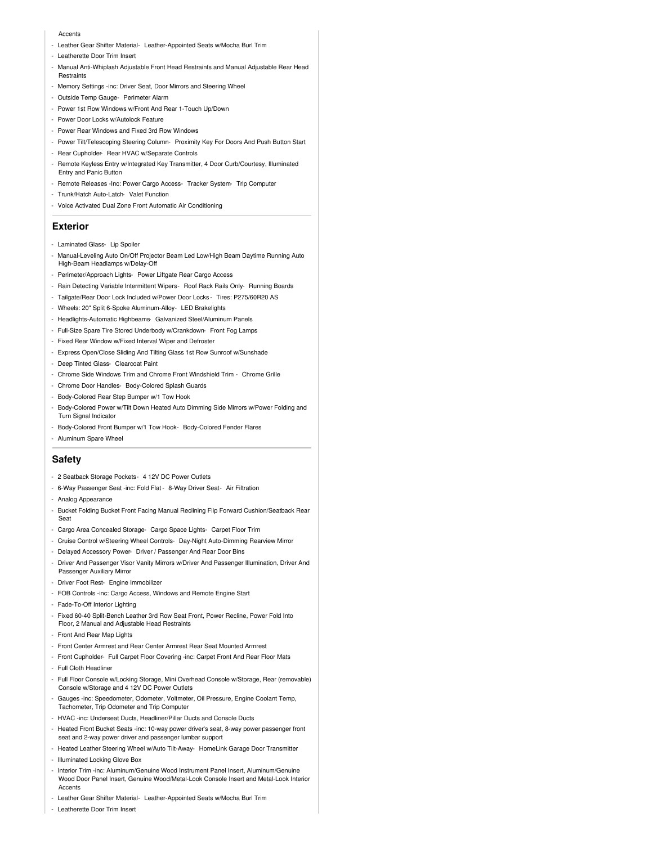#### **Accents**

- Leather Gear Shifter Material- Leather-Appointed Seats w/Mocha Burl Trim
- Leatherette Door Trim Insert
- Manual Anti-Whiplash Adjustable Front Head Restraints and Manual Adjustable Rear Head Restraints
- Memory Settings -inc: Driver Seat, Door Mirrors and Steering Wheel
- Outside Temp Gauge- Perimeter Alarm
- Power 1st Row Windows w/Front And Rear 1-Touch Up/Down
- Power Door Locks w/Autolock Feature
- Power Rear Windows and Fixed 3rd Row Windows
- Power Tilt/Telescoping Steering Column- Proximity Key For Doors And Push Button Start
- Rear Cupholder- Rear HVAC w/Separate Controls
- Remote Keyless Entry w/Integrated Key Transmitter, 4 Door Curb/Courtesy, Illuminated Entry and Panic Button
- Remote Releases -Inc: Power Cargo Access- Tracker System- Trip Computer
- Trunk/Hatch Auto-Latch- Valet Function
- Voice Activated Dual Zone Front Automatic Air Conditioning

#### **Exterior**

- Laminated Glass- Lip Spoiler
- Manual-Leveling Auto On/Off Projector Beam Led Low/High Beam Daytime Running Auto High-Beam Headlamps w/Delay-Off
- Perimeter/Approach Lights- Power Liftgate Rear Cargo Access
- Rain Detecting Variable Intermittent Wipers- Roof Rack Rails Only- Running Boards
- Tailgate/Rear Door Lock Included w/Power Door Locks Tires: P275/60R20 AS
- Wheels: 20" Split 6-Spoke Aluminum-Alloy- LED Brakelights
- Headlights-Automatic Highbeams- Galvanized Steel/Aluminum Panels
- Full-Size Spare Tire Stored Underbody w/Crankdown- Front Fog Lamps
- Fixed Rear Window w/Fixed Interval Wiper and Defroster
- Express Open/Close Sliding And Tilting Glass 1st Row Sunroof w/Sunshade
- Deep Tinted Glass- Clearcoat Paint
- Chrome Side Windows Trim and Chrome Front Windshield Trim Chrome Grille
- Chrome Door Handles- Body-Colored Splash Guards
- Body-Colored Rear Step Bumper w/1 Tow Hook
- Body-Colored Power w/Tilt Down Heated Auto Dimming Side Mirrors w/Power Folding and Turn Signal Indicator
- Body-Colored Front Bumper w/1 Tow Hook- Body-Colored Fender Flares

- Aluminum Spare Wheel

### **Safety**

- 2 Seatback Storage Pockets- 4 12V DC Power Outlets
- 6-Way Passenger Seat -inc: Fold Flat 8-Way Driver Seat- Air Filtration
- Analog Appearance
- Bucket Folding Bucket Front Facing Manual Reclining Flip Forward Cushion/Seatback Rear Seat
- Cargo Area Concealed Storage- Cargo Space Lights- Carpet Floor Trim
- Cruise Control w/Steering Wheel Controls- Day-Night Auto-Dimming Rearview Mirror
- Delayed Accessory Power- Driver / Passenger And Rear Door Bins
- Driver And Passenger Visor Vanity Mirrors w/Driver And Passenger Illumination, Driver And Passenger Auxiliary Mirror
- Driver Foot Rest- Engine Immobilizer
- FOB Controls -inc: Cargo Access, Windows and Remote Engine Start
- Fade-To-Off Interior Lighting
- Fixed 60-40 Split-Bench Leather 3rd Row Seat Front, Power Recline, Power Fold Into Floor, 2 Manual and Adjustable Head Restraints
- Front And Rear Map Lights
- Front Center Armrest and Rear Center Armrest Rear Seat Mounted Armrest
- Front Cupholder- Full Carpet Floor Covering -inc: Carpet Front And Rear Floor Mats
- Full Cloth Headliner
- Full Floor Console w/Locking Storage, Mini Overhead Console w/Storage, Rear (removable) Console w/Storage and 4 12V DC Power Outlets
- Gauges -inc: Speedometer, Odometer, Voltmeter, Oil Pressure, Engine Coolant Temp, Tachometer, Trip Odometer and Trip Computer
- HVAC -inc: Underseat Ducts, Headliner/Pillar Ducts and Console Ducts
- Heated Front Bucket Seats -inc: 10-way power driver's seat, 8-way power passenger front seat and 2-way power driver and passenger lumbar support
- Heated Leather Steering Wheel w/Auto Tilt-Away- HomeLink Garage Door Transmitter
- Illuminated Locking Glove Box
- Interior Trim -inc: Aluminum/Genuine Wood Instrument Panel Insert, Aluminum/Genuine Wood Door Panel Insert, Genuine Wood/Metal-Look Console Insert and Metal-Look Interior Accents
- Leather Gear Shifter Material- Leather-Appointed Seats w/Mocha Burl Trim
- Leatherette Door Trim Insert